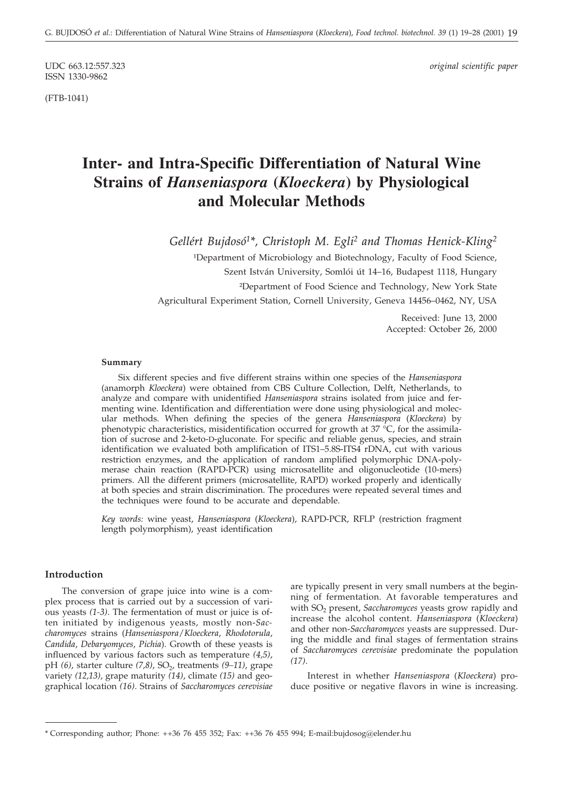ISSN 1330-9862

(FTB-1041)

UDC 663.12:557.323 *original scientific paper*

# **Inter- and Intra-Specific Differentiation of Natural Wine Strains of** *Hanseniaspora* **(***Kloeckera***) by Physiological and Molecular Methods**

*Gellért Bujdosó1\*, Christoph M. Egli2 and Thomas Henick-Kling2*

<sup>1</sup>Department of Microbiology and Biotechnology, Faculty of Food Science, Szent István University, Somlói út 14–16, Budapest 1118, Hungary ²Department of Food Science and Technology, New York State Agricultural Experiment Station, Cornell University, Geneva 14456–0462, NY, USA

> Received: June 13, 2000 Accepted: October 26, 2000

#### **Summary**

Six different species and five different strains within one species of the *Hanseniaspora* (anamorph *Kloeckera*) were obtained from CBS Culture Collection, Delft, Netherlands, to analyze and compare with unidentified *Hanseniaspora* strains isolated from juice and fermenting wine. Identification and differentiation were done using physiological and molecular methods. When defining the species of the genera *Hanseniaspora* (*Kloeckera*) by phenotypic characteristics, misidentification occurred for growth at  $37 \degree C$ , for the assimilation of sucrose and 2-keto-D-gluconate. For specific and reliable genus, species, and strain identification we evaluated both amplification of ITS1–5.8S-ITS4 rDNA, cut with various restriction enzymes, and the application of random amplified polymorphic DNA-polymerase chain reaction (RAPD-PCR) using microsatellite and oligonucleotide (10-mers) primers. All the different primers (microsatellite, RAPD) worked properly and identically at both species and strain discrimination. The procedures were repeated several times and the techniques were found to be accurate and dependable.

*Key words:* wine yeast, *Hanseniaspora* (*Kloeckera*), RAPD-PCR, RFLP (restriction fragment length polymorphism), yeast identification

# **Introduction**

The conversion of grape juice into wine is a complex process that is carried out by a succession of various yeasts *(1-3)*. The fermentation of must or juice is often initiated by indigenous yeasts, mostly non-*Saccharomyces* strains (*Hanseniaspora*/*Kloeckera*, *Rhodotorula*, *Candida*, *Debaryomyces*, *Pichia*). Growth of these yeasts is influenced by various factors such as temperature *(4,5)*, pH (6), starter culture (7,8), SO<sub>2</sub>, treatments (9–11), grape variety *(12,13)*, grape maturity *(14)*, climate *(15)* and geographical location *(16)*. Strains of *Saccharomyces cerevisiae*

are typically present in very small numbers at the beginning of fermentation. At favorable temperatures and with SO<sub>2</sub> present, *Saccharomyces* yeasts grow rapidly and increase the alcohol content. *Hanseniaspora* (*Kloeckera*) and other non-*Saccharomyces* yeasts are suppressed. During the middle and final stages of fermentation strains of *Saccharomyces cerevisiae* predominate the population *(17)*.

Interest in whether *Hanseniaspora* (*Kloeckera*) produce positive or negative flavors in wine is increasing.

<sup>\*</sup> Corresponding author; Phone: ++36 76 455 352; Fax: ++36 76 455 994; E-mail:bujdosog*@*elender.hu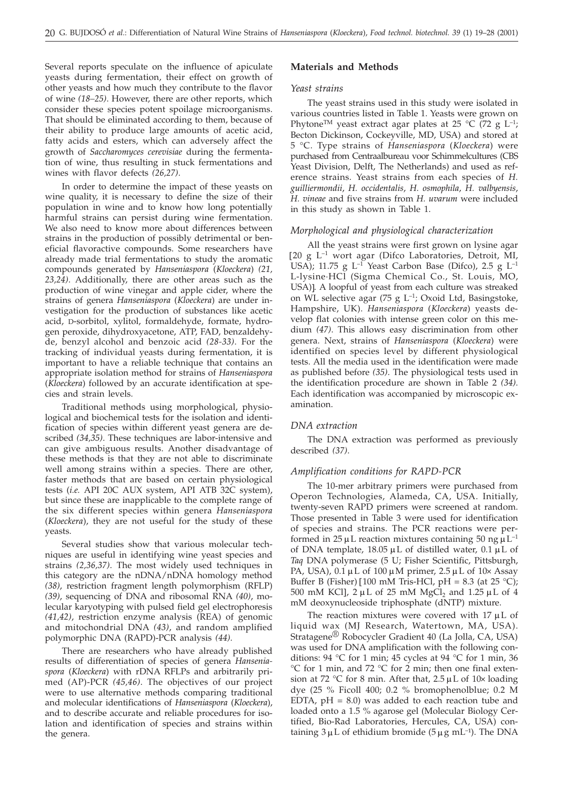Several reports speculate on the influence of apiculate yeasts during fermentation, their effect on growth of other yeasts and how much they contribute to the flavor of wine *(18–25)*. However, there are other reports, which consider these species potent spoilage microorganisms. That should be eliminated according to them, because of their ability to produce large amounts of acetic acid, fatty acids and esters, which can adversely affect the growth of *Saccharomyces cerevisiae* during the fermentation of wine, thus resulting in stuck fermentations and wines with flavor defects *(26,27)*.

In order to determine the impact of these yeasts on wine quality, it is necessary to define the size of their population in wine and to know how long potentially harmful strains can persist during wine fermentation. We also need to know more about differences between strains in the production of possibly detrimental or beneficial flavoractive compounds. Some researchers have already made trial fermentations to study the aromatic compounds generated by *Hanseniaspora* (*Kloeckera*) *(21, 23,24)*. Additionally, there are other areas such as the production of wine vinegar and apple cider, where the strains of genera *Hanseniaspora* (*Kloeckera*) are under investigation for the production of substances like acetic acid, D-sorbitol, xylitol, formaldehyde, formate, hydrogen peroxide, dihydroxyacetone, ATP, FAD, benzaldehyde, benzyl alcohol and benzoic acid *(28-33)*. For the tracking of individual yeasts during fermentation, it is important to have a reliable technique that contains an appropriate isolation method for strains of *Hanseniaspora* (*Kloeckera*) followed by an accurate identification at species and strain levels.

Traditional methods using morphological, physiological and biochemical tests for the isolation and identification of species within different yeast genera are described *(34,35)*. These techniques are labor-intensive and can give ambiguous results. Another disadvantage of these methods is that they are not able to discriminate well among strains within a species. There are other, faster methods that are based on certain physiological tests (*i.e.* API 20C AUX system, API ATB 32C system), but since these are inapplicable to the complete range of the six different species within genera *Hanseniaspora* (*Kloeckera*), they are not useful for the study of these yeasts.

Several studies show that various molecular techniques are useful in identifying wine yeast species and strains *(2,36,37)*. The most widely used techniques in this category are the nDNA/nDNA homology method *(38)*, restriction fragment length polymorphism (RFLP) *(39)*, sequencing of DNA and ribosomal RNA *(40)*, molecular karyotyping with pulsed field gel electrophoresis *(41,42)*, restriction enzyme analysis (REA) of genomic and mitochondrial DNA *(43)*, and random amplified polymorphic DNA (RAPD)-PCR analysis *(44)*.

There are researchers who have already published results of differentiation of species of genera *Hanseniaspora* (*Kloeckera*) with rDNA RFLPs and arbitrarily primed (AP)-PCR *(45,46)*. The objectives of our project were to use alternative methods comparing traditional and molecular identifications of *Hanseniaspora* (*Kloeckera*), and to describe accurate and reliable procedures for isolation and identification of species and strains within the genera.

# **Materials and Methods**

#### *Yeast strains*

The yeast strains used in this study were isolated in various countries listed in Table 1. Yeasts were grown on Phytone<sup>TM</sup> yeast extract agar plates at 25 °C (72 g L<sup>-1</sup>; Becton Dickinson, Cockeyville, MD, USA) and stored at 5 °C. Type strains of *Hanseniaspora* (*Kloeckera*) were purchased from Centraalbureau voor Schimmelcultures (CBS Yeast Division, Delft, The Netherlands) and used as reference strains. Yeast strains from each species of *H. guilliermondii*, *H. occidentalis*, *H. osmophila*, *H. valbyensis*, *H. vineae* and five strains from *H. uvarum* were included in this study as shown in Table 1.

#### *Morphological and physiological characterization*

All the yeast strains were first grown on lysine agar [20 g L–1 wort agar (Difco Laboratories, Detroit, MI, USA); 11.75 g  $L^{-1}$  Yeast Carbon Base (Difco), 2.5 g  $L^{-1}$ L-lysine·HCl (Sigma Chemical Co., St. Louis, MO, USA)]. A loopful of yeast from each culture was streaked on WL selective agar (75 g  $L^{-1}$ ; Oxoid Ltd, Basingstoke, Hampshire, UK). *Hanseniaspora* (*Kloeckera*) yeasts develop flat colonies with intense green color on this medium *(47)*. This allows easy discrimination from other genera. Next, strains of *Hanseniaspora* (*Kloeckera*) were identified on species level by different physiological tests. All the media used in the identification were made as published before *(35)*. The physiological tests used in the identification procedure are shown in Table 2 *(34)*. Each identification was accompanied by microscopic examination.

#### *DNA extraction*

The DNA extraction was performed as previously described *(37)*.

# *Amplification conditions for RAPD-PCR*

The 10-mer arbitrary primers were purchased from Operon Technologies, Alameda, CA, USA. Initially, twenty-seven RAPD primers were screened at random. Those presented in Table 3 were used for identification of species and strains. The PCR reactions were performed in  $25 \mu L$  reaction mixtures containing 50 ng  $\mu L^{-1}$ of DNA template,  $18.05 \mu L$  of distilled water,  $0.1 \mu L$  of *Taq* DNA polymerase (5 U; Fisher Scientific, Pittsburgh, PA, USA),  $0.1 \mu L$  of  $100 \mu M$  primer,  $2.5 \mu L$  of  $10 \times$  Assay Buffer B (Fisher) [100 mM Tris-HCl, pH =  $8.3$  (at 25 °C); 500 mM KCl],  $2 \mu L$  of 25 mM MgCl<sub>2</sub> and 1.25  $\mu L$  of 4 mM deoxynucleoside triphosphate (dNTP) mixture.

The reaction mixtures were covered with  $17 \mu L$  of liquid wax (MJ Research, Watertown, MA, USA). Stratagene® Robocycler Gradient 40 (La Jolla, CA, USA) was used for DNA amplification with the following conditions: 94 °C for 1 min; 45 cycles at 94 °C for 1 min, 36 °C for 1 min, and 72 °C for 2 min; then one final extension at 72 °C for 8 min. After that,  $2.5 \mu L$  of  $10 \times$  loading dye (25 % Ficoll 400; 0.2 % bromophenolblue; 0.2 M EDTA,  $pH = 8.0$ ) was added to each reaction tube and loaded onto a 1.5 % agarose gel (Molecular Biology Certified, Bio-Rad Laboratories, Hercules, CA, USA) containing  $3 \mu$ L of ethidium bromide ( $5 \mu$ g mL<sup>-1</sup>). The DNA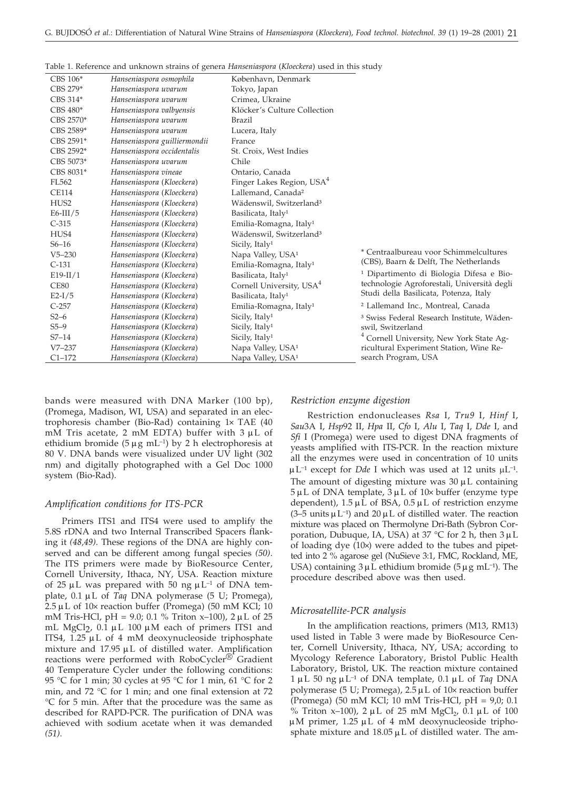| CBS 106*         | Hanseniaspora osmophila      | København, Denmark                    |                                                       |
|------------------|------------------------------|---------------------------------------|-------------------------------------------------------|
| CBS 279*         | Hanseniaspora uvarum         | Tokyo, Japan                          |                                                       |
| CBS 314*         | Hanseniaspora uvarum         | Crimea, Ukraine                       |                                                       |
| CBS 480*         | Hanseniaspora valbyensis     | Klöcker's Culture Collection          |                                                       |
| CBS 2570*        | Hanseniaspora uvarum         | Brazil                                |                                                       |
| CBS 2589*        | Hanseniaspora uvarum         | Lucera, Italy                         |                                                       |
| CBS 2591*        | Hanseniaspora guilliermondii | France                                |                                                       |
| CBS 2592*        | Hanseniaspora occidentalis   | St. Croix, West Indies                |                                                       |
| CBS 5073*        | Hanseniaspora uvarum         | Chile                                 |                                                       |
| CBS 8031*        | Hanseniaspora vineae         | Ontario, Canada                       |                                                       |
| FL562            | Hanseniaspora (Kloeckera)    | Finger Lakes Region, USA <sup>4</sup> |                                                       |
| <b>CE114</b>     | Hanseniaspora (Kloeckera)    | Lallemand, Canada <sup>2</sup>        |                                                       |
| HUS <sub>2</sub> | Hanseniaspora (Kloeckera)    | Wädenswil, Switzerland <sup>3</sup>   |                                                       |
| $E6-III/5$       | Hanseniaspora (Kloeckera)    | Basilicata, Italy <sup>1</sup>        |                                                       |
| $C-315$          | Hanseniaspora (Kloeckera)    | Emilia-Romagna, Italy <sup>1</sup>    |                                                       |
| HUS4             | Hanseniaspora (Kloeckera)    | Wädenswil, Switzerland <sup>3</sup>   |                                                       |
| $S6 - 16$        | Hanseniaspora (Kloeckera)    | Sicily, Italy <sup>1</sup>            |                                                       |
| $V5 - 230$       | Hanseniaspora (Kloeckera)    | Napa Valley, USA <sup>1</sup>         | * Centraalbureau voor Schimmelcultures                |
| $C-131$          | Hanseniaspora (Kloeckera)    | Emilia-Romagna, Italy <sup>1</sup>    | (CBS), Baarn & Delft, The Netherlands                 |
| $E19-II/1$       | Hanseniaspora (Kloeckera)    | Basilicata, Italy <sup>1</sup>        | <sup>1</sup> Dipartimento di Biologia Difesa e Bio-   |
| <b>CE80</b>      | Hanseniaspora (Kloeckera)    | Cornell University, USA <sup>4</sup>  | technologie Agroforestali, Università degli           |
| $E2-I/5$         | Hanseniaspora (Kloeckera)    | Basilicata, Italy <sup>1</sup>        | Studi della Basilicata, Potenza, Italy                |
| $C-257$          | Hanseniaspora (Kloeckera)    | Emilia-Romagna, Italy <sup>1</sup>    | <sup>2</sup> Lallemand Inc., Montreal, Canada         |
| $S2-6$           | Hanseniaspora (Kloeckera)    | Sicily, Italy <sup>1</sup>            | <sup>3</sup> Swiss Federal Research Institute, Wäden- |
| $S5-9$           | Hanseniaspora (Kloeckera)    | Sicily, Italy <sup>1</sup>            | swil, Switzerland                                     |
| $S7 - 14$        | Hanseniaspora (Kloeckera)    | Sicily, Italy <sup>1</sup>            | <sup>4</sup> Cornell University, New York State Ag-   |
| $V7 - 237$       | Hanseniaspora (Kloeckera)    | Napa Valley, USA <sup>1</sup>         | ricultural Experiment Station, Wine Re-               |
| $C1 - 172$       | Hanseniaspora (Kloeckera)    | Napa Valley, USA <sup>1</sup>         | search Program, USA                                   |

Table 1. Reference and unknown strains of genera *Hanseniaspora* (*Kloeckera*) used in this study

bands were measured with DNA Marker (100 bp), (Promega, Madison, WI, USA) and separated in an electrophoresis chamber (Bio-Rad) containing  $1 \times$  TAE (40) mM Tris acetate, 2 mM EDTA) buffer with  $3 \mu L$  of ethidium bromide (5  $\mu$ g mL<sup>-1</sup>) by 2 h electrophoresis at 80 V. DNA bands were visualized under UV light (302 nm) and digitally photographed with a Gel Doc 1000 system (Bio-Rad).

#### *Amplification conditions for ITS-PCR*

Primers ITS1 and ITS4 were used to amplify the 5.8S rDNA and two Internal Transcribed Spacers flanking it *(48,49)*. These regions of the DNA are highly conserved and can be different among fungal species *(50)*. The ITS primers were made by BioResource Center, Cornell University, Ithaca, NY, USA. Reaction mixture of 25  $\mu$ L was prepared with 50 ng  $\mu$ L<sup>-1</sup> of DNA template, 0.1 mL of *Taq* DNA polymerase (5 U; Promega),  $2.5 \mu$ L of 10 $\times$  reaction buffer (Promega) (50 mM KCl; 10 mM Tris-HCl, pH = 9.0; 0.1 % Triton x-100),  $2 \mu L$  of 25 mL MgCl $2$ , 0.1  $\mu$ L 100  $\mu$ M each of primers ITS1 and ITS4, 1.25  $\mu$ L of 4 mM deoxynucleoside triphosphate mixture and  $17.95 \mu L$  of distilled water. Amplification reactions were performed with RoboCycler<sup>®</sup> Gradient 40 Temperature Cycler under the following conditions: 95 °C for 1 min; 30 cycles at 95 °C for 1 min, 61 °C for 2 min, and 72 °C for 1 min; and one final extension at 72 °C for 5 min. After that the procedure was the same as described for RAPD-PCR. The purification of DNA was achieved with sodium acetate when it was demanded *(51)*.

#### *Restriction enzyme digestion*

Restriction endonucleases *Rsa* I, *Tru9* I, *Hinf* I, *Sau*3A I, *Hsp*92 II, *Hpa* II, *Cfo* I, *Alu* I, *Taq* I, *Dde* I, and *Sfi* I (Promega) were used to digest DNA fragments of yeasts amplified with ITS-PCR. In the reaction mixture all the enzymes were used in concentration of 10 units  $\mu L^{-1}$  except for *Dde* I which was used at 12 units  $\mu L^{-1}$ . The amount of digesting mixture was  $30 \mu$ L containing  $5 \mu L$  of DNA template,  $3 \mu L$  of  $10 \times$  buffer (enzyme type dependent),  $1.5 \mu \hat{L}$  of BSA,  $0.5 \mu L$  of restriction enzyme (3–5 units  $\mu$  L<sup>-1</sup>) and 20  $\mu$  L of distilled water. The reaction mixture was placed on Thermolyne Dri-Bath (Sybron Corporation, Dubuque, IA, USA) at  $37 °C$  for 2 h, then  $3 \mu L$ of loading dye  $(10x)$  were added to the tubes and pipetted into 2 % agarose gel (NuSieve 3:1, FMC, Rockland, ME, USA) containing  $3 \mu$  L ethidium bromide ( $5 \mu$ g mL<sup>-1</sup>). The procedure described above was then used.

#### *Microsatellite-PCR analysis*

In the amplification reactions, primers (M13, RM13) used listed in Table 3 were made by BioResource Center, Cornell University, Ithaca, NY, USA; according to Mycology Reference Laboratory, Bristol Public Health Laboratory, Bristol, UK. The reaction mixture contained  $1 \mu L$  50 ng  $\mu L^{-1}$  of DNA template, 0.1  $\mu L$  of *Taq* DNA polymerase (5 U; Promega),  $2.5 \mu L$  of  $10 \times$  reaction buffer (Promega) (50 mM KCl; 10 mM Tris-HCl, pH = 9,0; 0.1 % Triton x-100),  $2 \mu L$  of 25 mM MgCl<sub>2</sub>, 0.1  $\mu L$  of 100  $\mu$ M primer, 1.25  $\mu$ L of 4 mM deoxynucleoside triphosphate mixture and  $18.05 \mu L$  of distilled water. The am-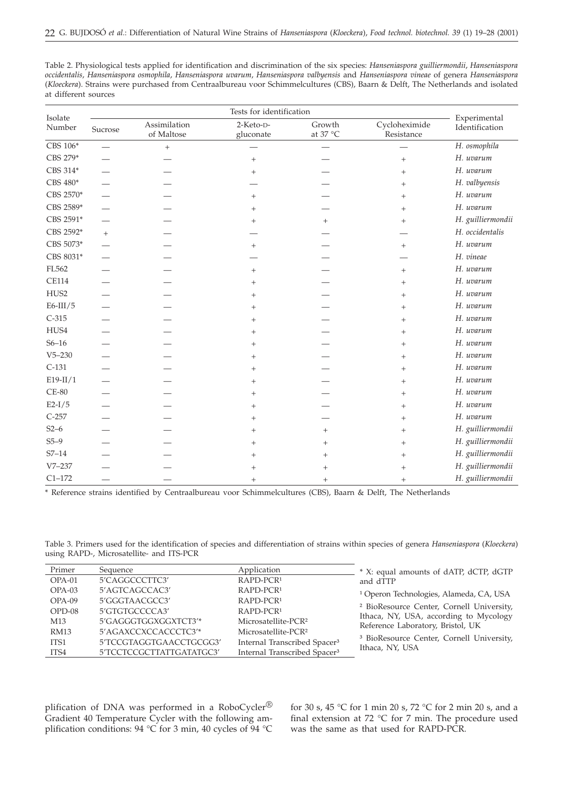| Table 2. Physiological tests applied for identification and discrimination of the six species: <i>Hanseniaspora guilliermondii, Hanseniaspora</i> |
|---------------------------------------------------------------------------------------------------------------------------------------------------|
| occidentalis, Hanseniaspora osmophila, Hanseniaspora uvarum, Hanseniaspora valbyensis and Hanseniaspora vineae of genera Hanseniaspora            |
| (Kloeckera). Strains were purchased from Centraalbureau voor Schimmelcultures (CBS), Baarn & Delft, The Netherlands and isolated                  |
| at different sources                                                                                                                              |

| Isolate<br>Number |         |                            |                        |                                      |                             |                                |
|-------------------|---------|----------------------------|------------------------|--------------------------------------|-----------------------------|--------------------------------|
|                   | Sucrose | Assimilation<br>of Maltose | 2-Keto-D-<br>gluconate | Growth<br>at 37 $^{\circ}\textrm{C}$ | Cycloheximide<br>Resistance | Experimental<br>Identification |
| CBS 106*          |         | $^{+}$                     |                        | $\overline{\phantom{0}}$             |                             | H. osmophila                   |
| CBS 279*          |         |                            | $^{+}$                 |                                      | $^{+}$                      | H. uvarum                      |
| CBS 314*          |         |                            | $^{+}$                 |                                      | $+$                         | H. uvarum                      |
| CBS 480*          |         |                            |                        |                                      | $+$                         | H. valbyensis                  |
| CBS 2570*         |         |                            | $^{+}$                 |                                      | $^{+}$                      | H. uvarum                      |
| CBS 2589*         |         |                            | $^{+}$                 |                                      | $^{+}$                      | H. uvarum                      |
| CBS 2591*         |         |                            | $^{+}$                 | $^{+}$                               | $^{+}$                      | H. guilliermondii              |
| CBS 2592*         | $+$     |                            |                        |                                      |                             | H. occidentalis                |
| CBS 5073*         |         |                            | $^{+}$                 |                                      | $^{+}$                      | H. uvarum                      |
| CBS 8031*         |         |                            |                        |                                      |                             | H. vineae                      |
| FL562             |         |                            | $^{+}$                 |                                      | $+$                         | H. uvarum                      |
| <b>CE114</b>      |         |                            | $^{+}$                 |                                      | $^{+}$                      | H. uvarum                      |
| HUS2              |         |                            | $^{+}$                 |                                      | $+$                         | H. uvarum                      |
| $E6$ -III/5       |         |                            | $^{+}$                 |                                      | $^{+}$                      | H. uvarum                      |
| $C-315$           |         |                            | $^{+}$                 |                                      | $+$                         | H. uvarum                      |
| HUS4              |         |                            | $^{+}$                 |                                      | $+$                         | H. uvarum                      |
| $S6 - 16$         |         |                            | $^{+}$                 |                                      | $^{+}$                      | H. uvarum                      |
| $V5 - 230$        |         |                            | $^{+}$                 |                                      | $+$                         | H. uvarum                      |
| $C-131$           |         |                            | $^{+}$                 |                                      | $^{+}$                      | H. uvarum                      |
| $E19-II/1$        |         |                            | $^{+}$                 |                                      | $+$                         | H. uvarum                      |
| $CE-80$           |         |                            | $^{+}$                 |                                      | $^{+}$                      | H. uvarum                      |
| $E2-I/5$          |         |                            | $^{+}$                 |                                      | $+$                         | H. uvarum                      |
| $C-257$           |         |                            | $^{+}$                 |                                      | $^{+}$                      | H. uvarum                      |
| $S2-6$            |         |                            | $^{+}$                 | $^{+}$                               | $+$                         | H. guilliermondii              |
| $S5-9$            |         |                            | $^{+}$                 | $^+$                                 | $+$                         | H. guilliermondii              |
| $S7 - 14$         |         |                            | $^{+}$                 | $^+$                                 | $^{+}$                      | H. guilliermondii              |
| $V7 - 237$        |         |                            | $^{+}$                 | $^+$                                 | $+$                         | H. guilliermondii              |
| $C1 - 172$        |         |                            | $^{+}$                 | $^{+}$                               | $^{+}$                      | H. guilliermondii              |

\* Reference strains identified by Centraalbureau voor Schimmelcultures (CBS), Baarn & Delft, The Netherlands

Table 3. Primers used for the identification of species and differentiation of strains within species of genera *Hanseniaspora* (*Kloeckera*) using RAPD-, Microsatellite- and ITS-PCR

| Primer          | Sequence                 | Application                              | * X: equal amounts of dATP, dCTP, dGTP                                      |
|-----------------|--------------------------|------------------------------------------|-----------------------------------------------------------------------------|
| $OPA-01$        | 5'CAGGCCCTTC3'           | RAPD-PCR <sup>1</sup>                    | and dTTP                                                                    |
| $OPA-03$        | 5'AGTCAGCCAC3'           | RAPD-PCR <sup>1</sup>                    | <sup>1</sup> Operon Technologies, Alameda, CA, USA                          |
| $OPA-09$        | 5'GGGTAACGCC3'           | RAPD-PCR <sup>1</sup>                    |                                                                             |
| $OPD-08$        | 5'GTGTGCCCCA3'           | RAPD-PCR <sup>1</sup>                    | <sup>2</sup> BioResource Center, Cornell University,                        |
| M <sub>13</sub> | 5'GAGGGTGGXGGXTCT3'*     | Microsatellite-PCR <sup>2</sup>          | Ithaca, NY, USA, according to Mycology<br>Reference Laboratory, Bristol, UK |
| <b>RM13</b>     | 5'AGAXCCXCCACCCTC3'*     | Microsatellite-PCR <sup>2</sup>          |                                                                             |
| ITS1            | 5'TCCGTAGGTGAACCTGCGG3'  | Internal Transcribed Spacer <sup>3</sup> | <sup>3</sup> BioResource Center, Cornell University,                        |
| ITS4            | 5'TCCTCCGCTTATTGATATGC3' | Internal Transcribed Spacer <sup>3</sup> | Ithaca, NY, USA                                                             |

plification of DNA was performed in a RoboCycler® Gradient 40 Temperature Cycler with the following amplification conditions: 94 °C for 3 min, 40 cycles of 94 °C

for 30 s, 45 °C for 1 min 20 s, 72 °C for 2 min 20 s, and a final extension at 72 °C for 7 min. The procedure used was the same as that used for RAPD-PCR.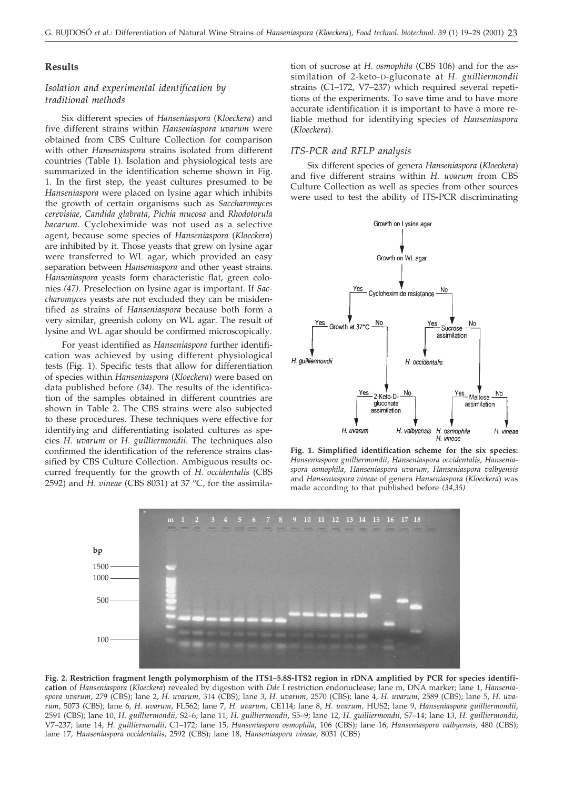# **Results**

# *Isolation and experimental identification by traditional methods*

Six different species of *Hanseniaspora* (*Kloeckera*) and five different strains within *Hanseniaspora uvarum* were obtained from CBS Culture Collection for comparison with other *Hanseniaspora* strains isolated from different countries (Table 1). Isolation and physiological tests are summarized in the identification scheme shown in Fig. 1. In the first step, the yeast cultures presumed to be *Hanseniaspora* were placed on lysine agar which inhibits the growth of certain organisms such as *Saccharomyces cerevisiae*, *Candida glabrata*, *Pichia mucosa* and *Rhodotorula bacarum*. Cycloheximide was not used as a selective agent, because some species of *Hanseniaspora* (*Kloeckera*) are inhibited by it. Those yeasts that grew on lysine agar were transferred to WL agar, which provided an easy separation between *Hanseniaspora* and other yeast strains. *Hanseniaspora* yeasts form characteristic flat, green colonies *(47)*. Preselection on lysine agar is important. If *Saccharomyces* yeasts are not excluded they can be misidentified as strains of *Hanseniaspora* because both form a very similar, greenish colony on WL agar. The result of lysine and WL agar should be confirmed microscopically.

For yeast identified as *Hanseniaspora* further identification was achieved by using different physiological tests (Fig. 1). Specific tests that allow for differentiation of species within *Hanseniaspora* (*Kloeckera*) were based on data published before *(34)*. The results of the identification of the samples obtained in different countries are shown in Table 2. The CBS strains were also subjected to these procedures. These techniques were effective for identifying and differentiating isolated cultures as species *H. uvarum* or *H. guilliermondii*. The techniques also confirmed the identification of the reference strains classified by CBS Culture Collection. Ambiguous results occurred frequently for the growth of *H. occidentalis* (CBS 2592) and *H. vineae* (CBS 8031) at 37 °C, for the assimilation of sucrose at *H. osmophila* (CBS 106) and for the assimilation of 2-keto-D-gluconate at *H. guilliermondii* strains (C1–172, V7–237) which required several repetitions of the experiments. To save time and to have more accurate identification it is important to have a more reliable method for identifying species of *Hanseniaspora* (*Kloeckera*).

#### *ITS-PCR and RFLP analysis*

Six different species of genera *Hanseniaspora* (*Kloeckera*) and five different strains within *H. uvarum* from CBS Culture Collection as well as species from other sources were used to test the ability of ITS-PCR discriminating



**Fig. 1. Simplified identification scheme for the six species:** *Hanseniaspora guilliermondii*, *Hanseniaspora occidentalis*, *Hanseniaspora osmophila*, *Hanseniaspora uvarum*, *Hanseniaspora valbyensis* and *Hanseniaspora vineae* of genera *Hanseniaspora* (*Kloeckera*) was made according to that published before *(34,35)*



**Fig. 2. Restriction fragment length polymorphism of the ITS1–5.8S-ITS2 region in rDNA amplified by PCR for species identification** of *Hanseniaspora* (*Kloeckera*) revealed by digestion with *Dde* I restriction endonuclease; lane m, DNA marker; lane 1, *Hanseniaspora uvarum*, 279 (CBS); lane 2, *H. uvarum*, 314 (CBS); lane 3, *H. uvarum*, 2570 (CBS); lane 4, *H. uvarum*, 2589 (CBS); lane 5, *H. uvarum*, 5073 (CBS); lane 6, *H. uvarum*, FL562; lane 7, *H. uvarum*, CE114; lane 8, *H. uvarum*, HUS2; lane 9, *Hanseniaspora guilliermondii*, 2591 (CBS); lane 10, *H. guilliermondii*, S2–6; lane 11, *H. guilliermondii*, S5–9; lane 12, *H. guilliermondii*, S7–14; lane 13, *H. guilliermondii*, V7–237; lane 14, *H. guilliermondii*, C1–172; lane 15, *Hanseniaspora osmophila*, 106 (CBS); lane 16, *Hanseniaspora valbyensis*, 480 (CBS); lane 17, *Hanseniaspora occidentalis*, 2592 (CBS); lane 18, *Hanseniaspora vineae*, 8031 (CBS)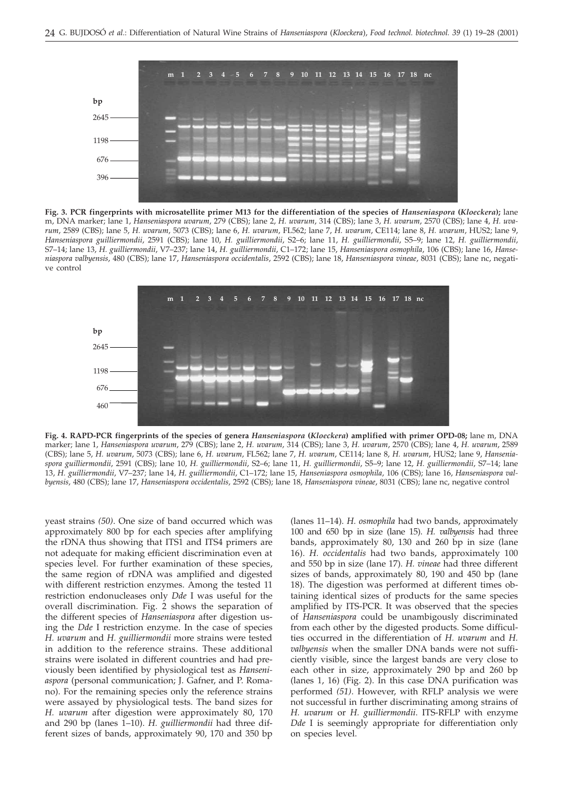

**Fig. 3. PCR fingerprints with microsatellite primer M13 for the differentiation of the species of** *Hanseniaspora* **(***Kloeckera***);** lane m, DNA marker; lane 1, *Hanseniaspora uvarum*, 279 (CBS); lane 2, *H. uvarum*, 314 (CBS); lane 3, *H. uvarum*, 2570 (CBS); lane 4, *H. uvarum*, 2589 (CBS); lane 5, *H. uvarum*, 5073 (CBS); lane 6, *H. uvarum*, FL562; lane 7, *H. uvarum*, CE114; lane 8, *H. uvarum*, HUS2; lane 9, *Hanseniaspora guilliermondii*, 2591 (CBS); lane 10, *H. guilliermondii*, S2–6; lane 11, *H. guilliermondii*, S5–9; lane 12, *H. guilliermondii*, S7–14; lane 13, *H. guilliermondii*, V7–237; lane 14, *H. guilliermondii*, C1–172; lane 15, *Hanseniaspora osmophila*, 106 (CBS); lane 16, *Hanseniaspora valbyensis*, 480 (CBS); lane 17, *Hanseniaspora occidentalis*, 2592 (CBS); lane 18, *Hanseniaspora vineae*, 8031 (CBS); lane nc, negative control



**Fig. 4. RAPD-PCR fingerprints of the species of genera** *Hanseniaspora* **(***Kloeckera***) amplified with primer OPD-08;** lane m, DNA marker; lane 1, *Hanseniaspora uvarum*, 279 (CBS); lane 2, *H. uvarum*, 314 (CBS); lane 3, *H. uvarum*, 2570 (CBS); lane 4, *H. uvarum*, 2589 (CBS); lane 5, *H. uvarum*, 5073 (CBS); lane 6, *H. uvarum*, FL562; lane 7, *H. uvarum*, CE114; lane 8, *H. uvarum*, HUS2; lane 9, *Hanseniaspora guilliermondii*, 2591 (CBS); lane 10, *H. guilliermondii*, S2–6; lane 11, *H. guilliermondii*, S5–9; lane 12, *H. guilliermondii*, S7–14; lane 13, *H. guilliermondii*, V7–237; lane 14, *H. guilliermondii*, C1–172; lane 15, *Hanseniaspora osmophila*, 106 (CBS); lane 16, *Hanseniaspora valbyensis*, 480 (CBS); lane 17, *Hanseniaspora occidentalis*, 2592 (CBS); lane 18, *Hanseniaspora vineae*, 8031 (CBS); lane nc, negative control

yeast strains *(50)*. One size of band occurred which was approximately 800 bp for each species after amplifying the rDNA thus showing that ITS1 and ITS4 primers are not adequate for making efficient discrimination even at species level. For further examination of these species, the same region of rDNA was amplified and digested with different restriction enzymes. Among the tested 11 restriction endonucleases only *Dde* I was useful for the overall discrimination. Fig. 2 shows the separation of the different species of *Hanseniaspora* after digestion using the *Dde* I restriction enzyme. In the case of species *H. uvarum* and *H. guilliermondii* more strains were tested in addition to the reference strains. These additional strains were isolated in different countries and had previously been identified by physiological test as *Hanseniaspora* (personal communication; J. Gafner, and P. Romano). For the remaining species only the reference strains were assayed by physiological tests. The band sizes for *H. uvarum* after digestion were approximately 80, 170 and 290 bp (lanes 1–10). *H. guilliermondii* had three different sizes of bands, approximately 90, 170 and 350 bp

(lanes 11–14). *H. osmophila* had two bands, approximately 100 and 650 bp in size (lane 15). *H. valbyensis* had three bands, approximately 80, 130 and 260 bp in size (lane 16). *H. occidentalis* had two bands, approximately 100 and 550 bp in size (lane 17). *H. vineae* had three different sizes of bands, approximately 80, 190 and 450 bp (lane 18). The digestion was performed at different times obtaining identical sizes of products for the same species amplified by ITS-PCR. It was observed that the species of *Hanseniaspora* could be unambigously discriminated from each other by the digested products. Some difficulties occurred in the differentiation of *H. uvarum* and *H. valbyensis* when the smaller DNA bands were not sufficiently visible, since the largest bands are very close to each other in size, approximately 290 bp and 260 bp (lanes 1, 16) (Fig. 2). In this case DNA purification was performed *(51)*. However, with RFLP analysis we were not successful in further discriminating among strains of *H. uvarum* or *H. guilliermondii*. ITS-RFLP with enzyme *Dde* I is seemingly appropriate for differentiation only on species level.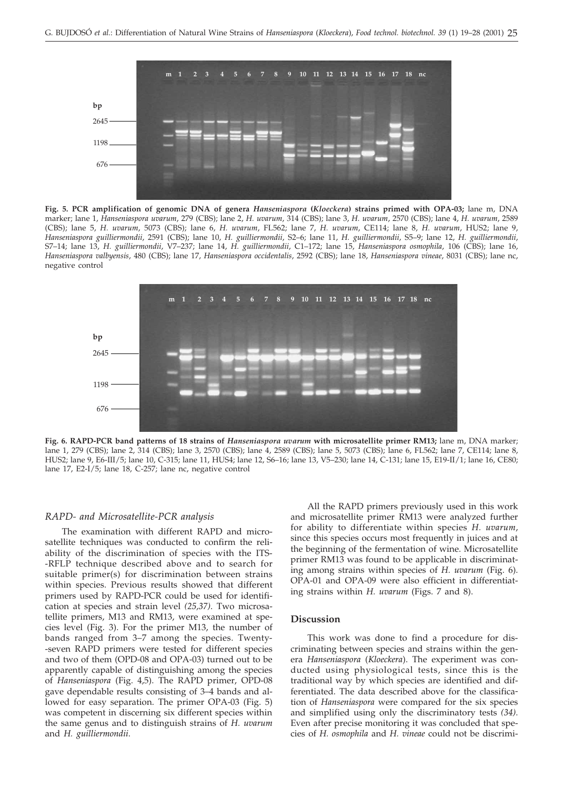

**Fig. 5. PCR amplification of genomic DNA of genera** *Hanseniaspora* **(***Kloeckera***) strains primed with OPA-03;** lane m, DNA marker; lane 1, *Hanseniaspora uvarum*, 279 (CBS); lane 2, *H. uvarum*, 314 (CBS); lane 3, *H. uvarum*, 2570 (CBS); lane 4, *H. uvarum*, 2589 (CBS); lane 5, *H. uvarum*, 5073 (CBS); lane 6, *H. uvarum*, FL562; lane 7, *H. uvarum*, CE114; lane 8, *H. uvarum*, HUS2; lane 9, *Hanseniaspora guilliermondii*, 2591 (CBS); lane 10, *H. guilliermondii*, S2–6; lane 11, *H. guilliermondii*, S5–9; lane 12, *H. guilliermondii*, S7–14; lane 13, *H. guilliermondii*, V7–237; lane 14, *H. guilliermondii*, C1–172; lane 15, *Hanseniaspora osmophila*, 106 (CBS); lane 16, *Hanseniaspora valbyensis*, 480 (CBS); lane 17, *Hanseniaspora occidentalis*, 2592 (CBS); lane 18, *Hanseniaspora vineae*, 8031 (CBS); lane nc, negative control



**Fig. 6. RAPD-PCR band patterns of 18 strains of** *Hanseniaspora uvarum* **with microsatellite primer RM13;** lane m, DNA marker; lane 1, 279 (CBS); lane 2, 314 (CBS); lane 3, 2570 (CBS); lane 4, 2589 (CBS); lane 5, 5073 (CBS); lane 6, FL562; lane 7, CE114; lane 8, HUS2; lane 9, E6-III/5; lane 10, C-315; lane 11, HUS4; lane 12, S6–16; lane 13, V5–230; lane 14, C-131; lane 15, E19-II/1; lane 16, CE80; lane 17, E2-I/5; lane 18, C-257; lane nc, negative control

#### *RAPD- and Microsatellite-PCR analysis*

The examination with different RAPD and microsatellite techniques was conducted to confirm the reliability of the discrimination of species with the ITS- -RFLP technique described above and to search for suitable primer(s) for discrimination between strains within species. Previous results showed that different primers used by RAPD-PCR could be used for identification at species and strain level *(25,37)*. Two microsatellite primers, M13 and RM13, were examined at species level (Fig. 3). For the primer M13, the number of bands ranged from 3–7 among the species. Twenty- -seven RAPD primers were tested for different species and two of them (OPD-08 and OPA-03) turned out to be apparently capable of distinguishing among the species of *Hanseniaspora* (Fig. 4,5). The RAPD primer, OPD-08 gave dependable results consisting of 3–4 bands and allowed for easy separation. The primer OPA-03 (Fig. 5) was competent in discerning six different species within the same genus and to distinguish strains of *H. uvarum* and *H. guilliermondii*.

All the RAPD primers previously used in this work and microsatellite primer RM13 were analyzed further for ability to differentiate within species *H. uvarum*, since this species occurs most frequently in juices and at the beginning of the fermentation of wine. Microsatellite primer RM13 was found to be applicable in discriminating among strains within species of *H. uvarum* (Fig. 6). OPA-01 and OPA-09 were also efficient in differentiating strains within *H. uvarum* (Figs. 7 and 8).

### **Discussion**

This work was done to find a procedure for discriminating between species and strains within the genera *Hanseniaspora* (*Kloeckera*). The experiment was conducted using physiological tests, since this is the traditional way by which species are identified and differentiated. The data described above for the classification of *Hanseniaspora* were compared for the six species and simplified using only the discriminatory tests *(34)*. Even after precise monitoring it was concluded that species of *H. osmophila* and *H. vineae* could not be discrimi-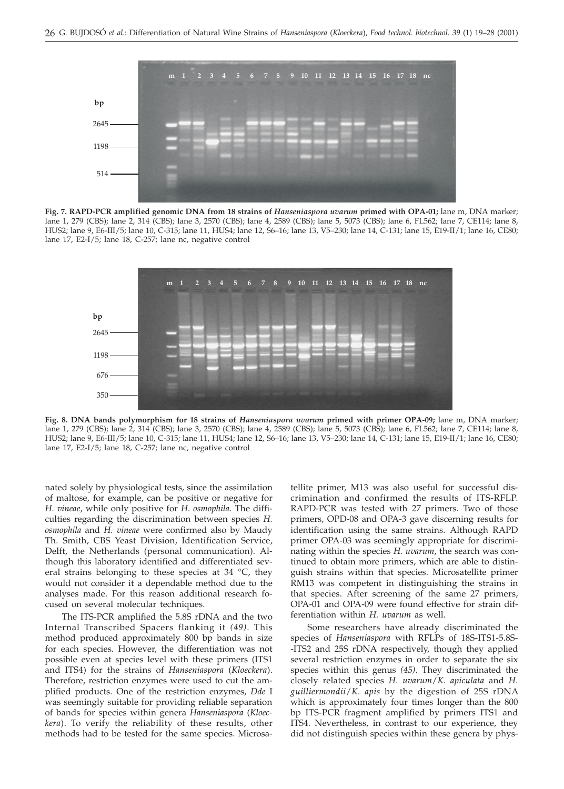

**Fig. 7. RAPD-PCR amplified genomic DNA from 18 strains of** *Hanseniaspora uvarum* **primed with OPA-01;** lane m, DNA marker; lane 1, 279 (CBS); lane 2, 314 (CBS); lane 3, 2570 (CBS); lane 4, 2589 (CBS); lane 5, 5073 (CBS); lane 6, FL562; lane 7, CE114; lane 8, HUS2; lane 9, E6-III/5; lane 10, C-315; lane 11, HUS4; lane 12, S6–16; lane 13, V5–230; lane 14, C-131; lane 15, E19-II/1; lane 16, CE80; lane 17, E2-I/5; lane 18, C-257; lane nc, negative control



**Fig. 8. DNA bands polymorphism for 18 strains of** *Hanseniaspora uvarum* **primed with primer OPA-09;** lane m, DNA marker; lane 1, 279 (CBS); lane 2, 314 (CBS); lane 3, 2570 (CBS); lane 4, 2589 (CBS); lane 5, 5073 (CBS); lane 6, FL562; lane 7, CE114; lane 8, HUS2; lane 9, E6-III/5; lane 10, C-315; lane 11, HUS4; lane 12, S6–16; lane 13, V5–230; lane 14, C-131; lane 15, E19-II/1; lane 16, CE80; lane 17, E2-I/5; lane 18, C-257; lane nc, negative control

nated solely by physiological tests, since the assimilation of maltose, for example, can be positive or negative for *H. vineae*, while only positive for *H. osmophila*. The difficulties regarding the discrimination between species *H. osmophila* and *H. vineae* were confirmed also by Maudy Th. Smith, CBS Yeast Division, Identification Service, Delft, the Netherlands (personal communication). Although this laboratory identified and differentiated several strains belonging to these species at 34 °C, they would not consider it a dependable method due to the analyses made. For this reason additional research focused on several molecular techniques.

The ITS-PCR amplified the 5.8S rDNA and the two Internal Transcribed Spacers flanking it *(49)*. This method produced approximately 800 bp bands in size for each species. However, the differentiation was not possible even at species level with these primers (ITS1 and ITS4) for the strains of *Hanseniaspora* (*Kloeckera*). Therefore, restriction enzymes were used to cut the amplified products. One of the restriction enzymes, *Dde* I was seemingly suitable for providing reliable separation of bands for species within genera *Hanseniaspora* (*Kloeckera*). To verify the reliability of these results, other methods had to be tested for the same species. Microsa-

tellite primer, M13 was also useful for successful discrimination and confirmed the results of ITS-RFLP. RAPD-PCR was tested with 27 primers. Two of those primers, OPD-08 and OPA-3 gave discerning results for identification using the same strains. Although RAPD primer OPA-03 was seemingly appropriate for discriminating within the species *H. uvarum*, the search was continued to obtain more primers, which are able to distinguish strains within that species. Microsatellite primer RM13 was competent in distinguishing the strains in that species. After screening of the same 27 primers, OPA-01 and OPA-09 were found effective for strain differentiation within *H. uvarum* as well.

Some researchers have already discriminated the species of *Hanseniaspora* with RFLPs of 18S-ITS1-5.8S- -ITS2 and 25S rDNA respectively, though they applied several restriction enzymes in order to separate the six species within this genus *(45)*. They discriminated the closely related species *H. uvarum*/*K. apiculata* and *H. guilliermondii*/*K. apis* by the digestion of 25S rDNA which is approximately four times longer than the 800 bp ITS-PCR fragment amplified by primers ITS1 and ITS4. Nevertheless, in contrast to our experience, they did not distinguish species within these genera by phys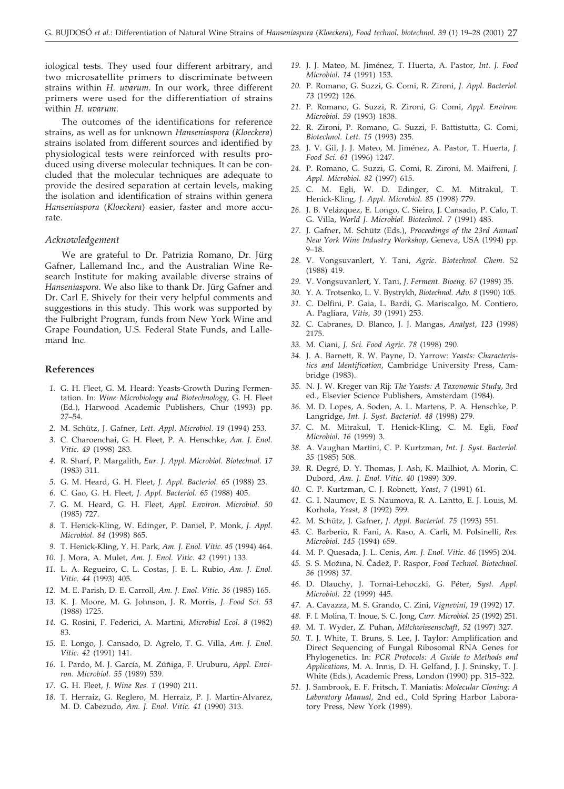iological tests. They used four different arbitrary, and two microsatellite primers to discriminate between strains within *H. uvarum*. In our work, three different primers were used for the differentiation of strains within *H. uvarum*.

The outcomes of the identifications for reference strains, as well as for unknown *Hanseniaspora* (*Kloeckera*) strains isolated from different sources and identified by physiological tests were reinforced with results produced using diverse molecular techniques. It can be concluded that the molecular techniques are adequate to provide the desired separation at certain levels, making the isolation and identification of strains within genera *Hanseniaspora* (*Kloeckera*) easier, faster and more accurate.

#### *Acknowledgement*

We are grateful to Dr. Patrizia Romano, Dr. Jürg Gafner, Lallemand Inc., and the Australian Wine Research Institute for making available diverse strains of *Hanseniaspora*. We also like to thank Dr. Jürg Gafner and Dr. Carl E. Shively for their very helpful comments and suggestions in this study. This work was supported by the Fulbright Program, funds from New York Wine and Grape Foundation, U.S. Federal State Funds, and Lallemand Inc.

#### **References**

- *1.* G. H. Fleet, G. M. Heard: Yeasts-Growth During Fermentation. In: *Wine Microbiology and Biotechnology,* G. H. Fleet (Ed.), Harwood Academic Publishers, Chur (1993) pp. 27–54.
- *2.* M. Schütz, J. Gafner, *Lett. Appl. Microbiol. 19* (1994) 253.
- *3.* C. Charoenchai, G. H. Fleet, P. A. Henschke, *Am. J. Enol. Vitic. 49* (1998) 283.
- *4.* R. Sharf, P. Margalith, *Eur. J. Appl. Microbiol. Biotechnol. 17* (1983) 311.
- *5.* G. M. Heard, G. H. Fleet, *J. Appl. Bacteriol. 65* (1988) 23.
- *6.* C. Gao, G. H. Fleet, *J. Appl. Bacteriol. 65* (1988) 405.
- *7.* G. M. Heard, G. H. Fleet, *Appl. Environ. Microbiol. 50* (1985) 727.
- *8.* T. Henick-Kling, W. Edinger, P. Daniel, P. Monk, *J. Appl. Microbiol. 84* (1998) 865.
- *9.* T. Henick-Kling, Y. H. Park, *Am. J. Enol. Vitic. 45* (1994) 464.
- *10.* J. Mora, A. Mulet, *Am. J. Enol. Vitic. 42* (1991) 133.
- *11.* L. A. Regueiro, C. L. Costas, J. E. L. Rubio, *Am. J. Enol. Vitic. 44* (1993) 405.
- *12.* M. E. Parish, D. E. Carroll, *Am. J. Enol. Vitic. 36* (1985) 165.
- *13.* K. J. Moore, M. G. Johnson, J. R. Morris, *J. Food Sci. 53* (1988) 1725.
- *14.* G. Rosini, F. Federici, A. Martini, *Microbial Ecol. 8* (1982) 83.
- *15.* E. Longo, J. Cansado, D. Agrelo, T. G. Villa, *Am. J. Enol. Vitic. 42* (1991) 141.
- *16.* I. Pardo, M. J. García, M. Zúñiga, F. Uruburu, *Appl. Environ. Microbiol. 55* (1989) 539.
- *17.* G. H. Fleet, *J. Wine Res. 1* (1990) 211.
- *18.* T. Herraiz, G. Reglero, M. Herraiz, P. J. Martin-Alvarez, M. D. Cabezudo, *Am. J. Enol. Vitic. 41* (1990) 313.
- *19.* J. J. Mateo, M. Jiménez, T. Huerta, A. Pastor, *Int. J. Food Microbiol. 14* (1991) 153.
- *20.* P. Romano, G. Suzzi, G. Comi, R. Zironi, *J. Appl. Bacteriol. 73* (1992) 126.
- *21.* P. Romano, G. Suzzi, R. Zironi, G. Comi, *Appl. Environ. Microbiol. 59* (1993) 1838.
- *22.* R. Zironi, P. Romano, G. Suzzi, F. Battistutta, G. Comi, *Biotechnol. Lett. 15* (1993) 235.
- *23.* J. V. Gil, J. J. Mateo, M. Jiménez, A. Pastor, T. Huerta, *J. Food Sci. 61* (1996) 1247.
- *24.* P. Romano, G. Suzzi, G. Comi, R. Zironi, M. Maifreni, *J. Appl. Microbiol. 82* (1997) 615.
- *25.* C. M. Egli, W. D. Edinger, C. M. Mitrakul, T. Henick-Kling, *J. Appl. Microbiol. 85* (1998) 779.
- *26.* J. B. Velázquez, E. Longo, C. Sieiro, J. Cansado, P. Calo, T. G. Villa, *World J. Microbiol. Biotechnol. 7* (1991) 485.
- *27.* J. Gafner, M. Schütz (Eds.), *Proceedings of the 23rd Annual New York Wine Industry Workshop,* Geneva, USA (1994) pp. 9–18.
- *28.* V. Vongsuvanlert, Y. Tani, *Agric. Biotechnol. Chem.* 52 (1988) 419.
- *29.* V. Vongsuvanlert, Y. Tani, *J. Ferment. Bioeng. 67* (1989) 35.
- *30.* Y. A. Trotsenko, L. V. Bystrykh, *Biotechnol. Adv. 8* (1990) 105.
- *31.* C. Delfini, P. Gaia, L. Bardi, G. Mariscalgo, M. Contiero, A. Pagliara, *Vitis, 30* (1991) 253.
- *32.* C. Cabranes, D. Blanco, J. J. Mangas, *Analyst, 123* (1998) 2175.
- *33.* M. Ciani, *J. Sci. Food Agric. 78* (1998) 290.
- *34.* J. A. Barnett, R. W. Payne, D. Yarrow: *Yeasts: Characteristics and Identification,* Cambridge University Press, Cambridge (1983).
- *35.* N. J. W. Kreger van Rij: *The Yeasts: A Taxonomic Study,* 3rd ed., Elsevier Science Publishers, Amsterdam (1984).
- *36.* M. D. Lopes, A. Soden, A. L. Martens, P. A. Henschke, P. Langridge, *Int. J. Syst. Bacteriol. 48* (1998) 279.
- *37.* C. M. Mitrakul, T. Henick-Kling, C. M. Egli, F*ood Microbiol. 16* (1999) 3.
- *38.* A. Vaughan Martini, C. P. Kurtzman, *Int. J. Syst. Bacteriol. 35* (1985) 508.
- *39.* R. Degré, D. Y. Thomas, J. Ash, K. Mailhiot, A. Morin, C. Dubord, *Am. J. Enol. Vitic. 40* (1989) 309.
- *40.* C. P. Kurtzman, C. J. Robnett, *Yeast, 7* (1991) 61.
- *41.* G. I. Naumov, E. S. Naumova, R. A. Lantto, E. J. Louis, M. Korhola, *Yeast, 8* (1992) 599.
- *42.* M. Schütz, J. Gafner, *J. Appl. Bacteriol. 75* (1993) 551.
- *43.* C. Barberio, R. Fani, A. Raso, A. Carli, M. Polsinelli, *Res. Microbiol. 145* (1994) 659.
- *44.* M. P. Quesada, J. L. Cenis, *Am. J. Enol. Vitic. 46* (1995) 204.
- 45. S. S. Možina, N. Čadež, P. Raspor, *Food Technol. Biotechnol. 36* (1998) 37.
- *46.* D. Dlauchy, J. Tornai-Lehoczki, G. Péter, *Syst. Appl. Microbiol. 22* (1999) 445.
- *47.* A. Cavazza, M. S. Grando, C. Zini, *Vignevini, 19* (1992) 17.
- *48.* F. I. Molina, T. Inoue, S. C. Jong, *Curr. Microbiol. 25* (1992) 251.
- *49.* M. T. Wyder, Z. Puhan, *Milchwissenschaft, 52* (1997) 327.
- *50.* T. J. White, T. Bruns, S. Lee, J. Taylor: Amplification and Direct Sequencing of Fungal Ribosomal RNA Genes for Phylogenetics. In: *PCR Protocols: A Guide to Methods and Applications,* M. A. Innis, D. H. Gelfand, J. J. Sninsky, T. J. White (Eds.), Academic Press, London (1990) pp. 315–322.
- *51.* J. Sambrook, E. F. Fritsch, T. Maniatis: *Molecular Cloning: A Laboratory Manual,* 2nd ed., Cold Spring Harbor Laboratory Press, New York (1989).